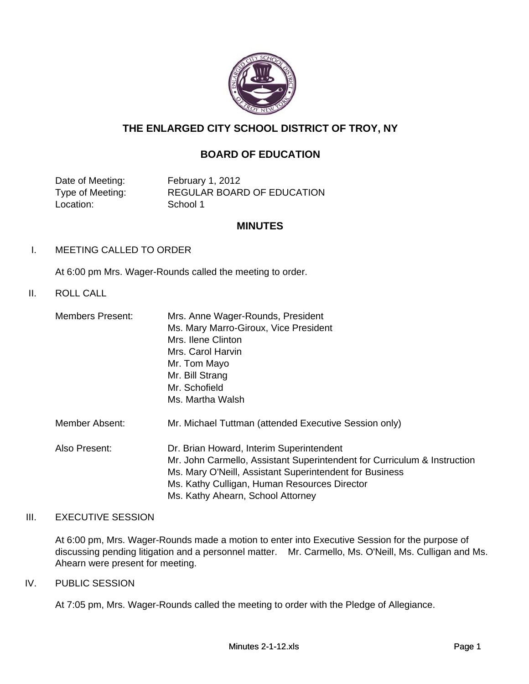

# **THE ENLARGED CITY SCHOOL DISTRICT OF TROY, NY**

# **BOARD OF EDUCATION**

Date of Meeting: February 1, 2012 Location: School 1

Type of Meeting: REGULAR BOARD OF EDUCATION

#### **MINUTES**

I. MEETING CALLED TO ORDER

At 6:00 pm Mrs. Wager-Rounds called the meeting to order.

### II. ROLL CALL

| Members Present: | Mrs. Anne Wager-Rounds, President                                        |  |  |  |  |  |  |
|------------------|--------------------------------------------------------------------------|--|--|--|--|--|--|
|                  | Ms. Mary Marro-Giroux, Vice President                                    |  |  |  |  |  |  |
|                  | Mrs. Ilene Clinton                                                       |  |  |  |  |  |  |
|                  | Mrs. Carol Harvin                                                        |  |  |  |  |  |  |
|                  | Mr. Tom Mayo                                                             |  |  |  |  |  |  |
|                  | Mr. Bill Strang                                                          |  |  |  |  |  |  |
|                  | Mr. Schofield                                                            |  |  |  |  |  |  |
|                  | Ms. Martha Walsh                                                         |  |  |  |  |  |  |
| Member Absent:   | Mr. Michael Tuttman (attended Executive Session only)                    |  |  |  |  |  |  |
| Also Present:    | Dr. Brian Howard, Interim Superintendent                                 |  |  |  |  |  |  |
|                  | Mr. John Carmello, Assistant Superintendent for Curriculum & Instruction |  |  |  |  |  |  |
|                  | Ms. Mary O'Neill, Assistant Superintendent for Business                  |  |  |  |  |  |  |
|                  | Ms. Kathy Culligan, Human Resources Director                             |  |  |  |  |  |  |
|                  | Ms. Kathy Ahearn, School Attorney                                        |  |  |  |  |  |  |

### III. EXECUTIVE SESSION

At 6:00 pm, Mrs. Wager-Rounds made a motion to enter into Executive Session for the purpose of discussing pending litigation and a personnel matter. Mr. Carmello, Ms. O'Neill, Ms. Culligan and Ms. Ahearn were present for meeting.

#### IV. PUBLIC SESSION

At 7:05 pm, Mrs. Wager-Rounds called the meeting to order with the Pledge of Allegiance.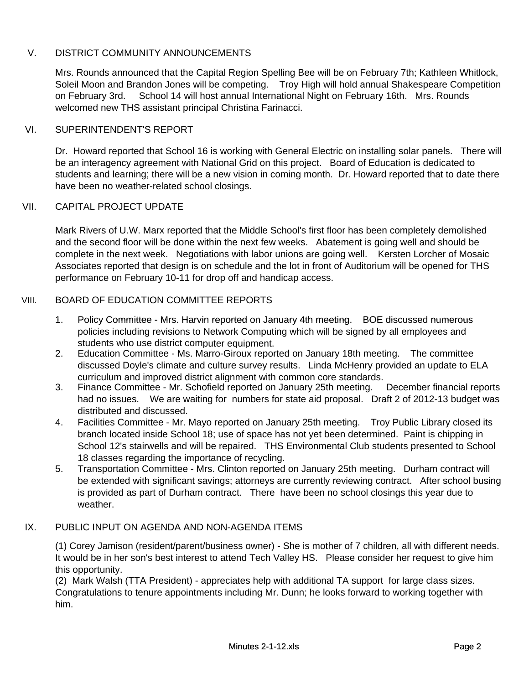# V. DISTRICT COMMUNITY ANNOUNCEMENTS

Mrs. Rounds announced that the Capital Region Spelling Bee will be on February 7th; Kathleen Whitlock, Soleil Moon and Brandon Jones will be competing. Troy High will hold annual Shakespeare Competition on February 3rd. School 14 will host annual International Night on February 16th. Mrs. Rounds welcomed new THS assistant principal Christina Farinacci.

### VI. SUPERINTENDENT'S REPORT

Dr. Howard reported that School 16 is working with General Electric on installing solar panels. There will be an interagency agreement with National Grid on this project. Board of Education is dedicated to students and learning; there will be a new vision in coming month. Dr. Howard reported that to date there have been no weather-related school closings.

### VII. CAPITAL PROJECT UPDATE

Mark Rivers of U.W. Marx reported that the Middle School's first floor has been completely demolished and the second floor will be done within the next few weeks. Abatement is going well and should be complete in the next week. Negotiations with labor unions are going well. Kersten Lorcher of Mosaic Associates reported that design is on schedule and the lot in front of Auditorium will be opened for THS performance on February 10-11 for drop off and handicap access.

#### VIII. BOARD OF EDUCATION COMMITTEE REPORTS

- 1 1. Policy Committee - Mrs. Harvin reported on January 4th meeting. BOE discussed numerous policies including revisions to Network Computing which will be signed by all employees and students who use district computer equipment.
- 2. Education Committee - Ms. Marro-Giroux reported on January 18th meeting. The committee discussed Doyle's climate and culture survey results. Linda McHenry provided an update to ELA curriculum and improved district alignment with common core standards.
- 3. Finance Committee - Mr. Schofield reported on January 25th meeting. December financial reports had no issues. We are waiting for numbers for state aid proposal. Draft 2 of 2012-13 budget was distributed and discussed.
- 4. Facilities Committee - Mr. Mayo reported on January 25th meeting. Troy Public Library closed its branch located inside School 18; use of space has not yet been determined. Paint is chipping in School 12's stairwells and will be repaired. THS Environmental Club students presented to School 18 classes regarding the importance of recycling.
- 5. Transportation Committee - Mrs. Clinton reported on January 25th meeting. Durham contract will be extended with significant savings; attorneys are currently reviewing contract. After school busing is provided as part of Durham contract. There have been no school closings this year due to weather.

# IX. PUBLIC INPUT ON AGENDA AND NON-AGENDA ITEMS

(1) Corey Jamison (resident/parent/business owner) - She is mother of 7 children, all with different needs. It would be in her son's best interest to attend Tech Valley HS. Please consider her request to give him this opportunity.

(2) Mark Walsh (TTA President) - appreciates help with additional TA support for large class sizes. Congratulations to tenure appointments including Mr. Dunn; he looks forward to working together with him.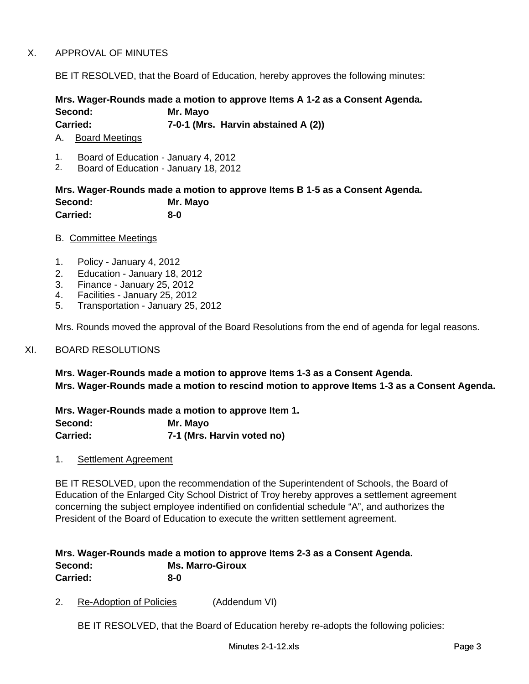# X. APPROVAL OF MINUTES

BE IT RESOLVED, that the Board of Education, hereby approves the following minutes:

### **Mrs. Wager-Rounds made a motion to approve Items A 1-2 as a Consent Agenda. Second: Mr. Mayo Carried: 7-0-1 (Mrs. Harvin abstained A (2))**

A. Board Meetings

- 1. Board of Education January 4, 2012
- 2. Board of Education January 18, 2012

**Mrs. Wager-Rounds made a motion to approve Items B 1-5 as a Consent Agenda. Second: Mr. Mayo Carried: 8-0**

- B. Committee Meetings
- 1. Policy January 4, 2012
- 2. Education January 18, 2012
- 3. Finance January 25, 2012
- 4. Facilities January 25, 2012
- 5. Transportation January 25, 2012

Mrs. Rounds moved the approval of the Board Resolutions from the end of agenda for legal reasons.

#### XI. BOARD RESOLUTIONS

**Mrs. Wager-Rounds made a motion to approve Items 1-3 as a Consent Agenda. Mrs. Wager-Rounds made a motion to rescind motion to approve Items 1-3 as a Consent Agenda.** 

**Mrs. Wager-Rounds made a motion to approve Item 1. Second: Mr. Mayo Carried: 7-1 (Mrs. Harvin voted no)**

1. Settlement Agreement

BE IT RESOLVED, upon the recommendation of the Superintendent of Schools, the Board of Education of the Enlarged City School District of Troy hereby approves a settlement agreement concerning the subject employee indentified on confidential schedule "A", and authorizes the President of the Board of Education to execute the written settlement agreement.

# **Mrs. Wager-Rounds made a motion to approve Items 2-3 as a Consent Agenda. Second: Ms. Marro-Giroux Carried: 8-0**

2. Re-Adoption of Policies (Addendum VI)

BE IT RESOLVED, that the Board of Education hereby re-adopts the following policies: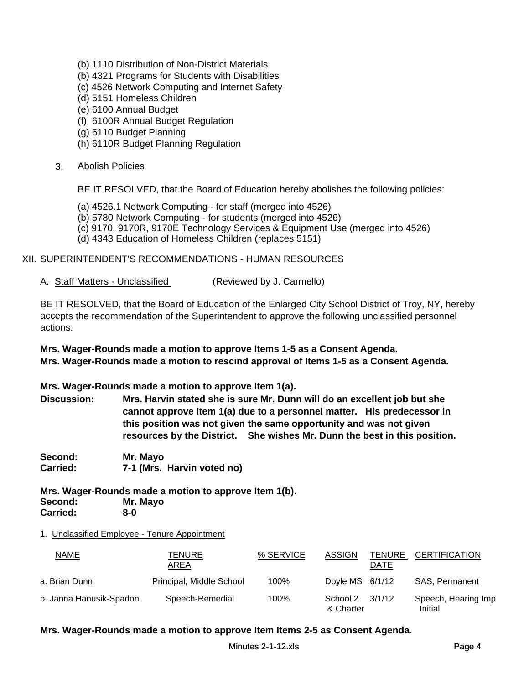- (b) 1110 Distribution of Non-District Materials
- (b) 4321 Programs for Students with Disabilities
- (c) 4526 Network Computing and Internet Safety
- (d) 5151 Homeless Children
- (e) 6100 Annual Budget
- (f) 6100R Annual Budget Regulation
- (g) 6110 Budget Planning
- (h) 6110R Budget Planning Regulation

#### 3. Abolish Policies

BE IT RESOLVED, that the Board of Education hereby abolishes the following policies:

- (a) 4526.1 Network Computing for staff (merged into 4526)
- (b) 5780 Network Computing for students (merged into 4526)
- (c) 9170, 9170R, 9170E Technology Services & Equipment Use (merged into 4526)
- (d) 4343 Education of Homeless Children (replaces 5151)

# XII. SUPERINTENDENT'S RECOMMENDATIONS - HUMAN RESOURCES

A. Staff Matters - Unclassified (Reviewed by J. Carmello)

BE IT RESOLVED, that the Board of Education of the Enlarged City School District of Troy, NY, hereby accepts the recommendation of the Superintendent to approve the following unclassified personnel accepts the recommendation of the Superintendent to approve the following unclassified personnel actions:

**Mrs. Wager-Rounds made a motion to approve Items 1-5 as a Consent Agenda. Mrs. Wager-Rounds made a motion to rescind approval of Items 1-5 as a Consent Agenda.** 

### **Mrs. Wager-Rounds made a motion to approve Item 1(a).**

**Discussion: Mrs. Harvin stated she is sure Mr. Dunn will do an excellent job but she cannot approve Item 1(a) due to a personnel matter. His predecessor in this position was not given the same opportunity and was not given resources by the District. She wishes Mr. Dunn the best in this position.**

**Second: Mr. Mayo Carried: 7-1 (Mrs. Harvin voted no)**

**Mrs. Wager-Rounds made a motion to approve Item 1(b). Second: Mr. Mayo Carried: 8-0**

#### 1. Unclassified Employee - Tenure Appointment

| NAME                     | TENURE<br>AREA           | % SERVICE | ASSIGN                | <b>TENURE</b><br>DATE | <b>CERTIFICATION</b>           |
|--------------------------|--------------------------|-----------|-----------------------|-----------------------|--------------------------------|
| a. Brian Dunn            | Principal, Middle School | 100%      | Doyle MS $6/1/12$     |                       | SAS, Permanent                 |
| b. Janna Hanusik-Spadoni | Speech-Remedial          | 100%      | School 2<br>& Charter | 3/1/12                | Speech, Hearing Imp<br>Initial |

### **Mrs. Wager-Rounds made a motion to approve Item Items 2-5 as Consent Agenda.**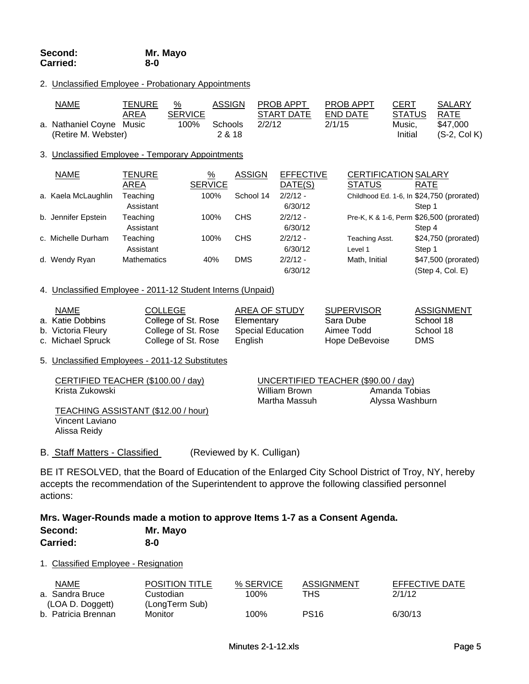#### 2. Unclassified Employee - Probationary Appointments

| <u>NAME</u>              | TENURE | %              | <b>ASSIGN</b> | <b>PROB APPT</b> | <b>PROB APPT</b> | <b>CERT</b>   | <b>SALARY</b>  |
|--------------------------|--------|----------------|---------------|------------------|------------------|---------------|----------------|
|                          | AREA   | <b>SERVICE</b> |               | START DATE       | END DATE         | <b>STATUS</b> | RATE           |
| a. Nathaniel Coyne Music |        | 100%           | Schools       | 2/2/12           | 2/1/15           | Music.        | \$47,000       |
| (Retire M. Webster)      |        |                | 2 & 18        |                  |                  | Initial       | $(S-2, Col K)$ |

#### 3. Unclassified Employee - Temporary Appointments

| <b>NAME</b>         | TENURE             | %              | <b>ASSIGN</b> | <b>EFFECTIVE</b> | <b>CERTIFICATION SALARY</b> |                                           |
|---------------------|--------------------|----------------|---------------|------------------|-----------------------------|-------------------------------------------|
|                     | AREA               | <b>SERVICE</b> |               | DATE(S)          | <b>STATUS</b>               | <b>RATE</b>                               |
| a. Kaela McLaughlin | Teaching           | 100%           | School 14     | $2/2/12 -$       |                             | Childhood Ed. 1-6, In \$24,750 (prorated) |
|                     | Assistant          |                |               | 6/30/12          |                             | Step 1                                    |
| b. Jennifer Epstein | Teaching           | 100%           | <b>CHS</b>    | $2/2/12 -$       |                             | Pre-K, K & 1-6, Perm \$26,500 (prorated)  |
|                     | Assistant          |                |               | 6/30/12          |                             | Step 4                                    |
| c. Michelle Durham  | Teaching           | 100%           | <b>CHS</b>    | $2/2/12 -$       | Teaching Asst.              | \$24,750 (prorated)                       |
|                     | Assistant          |                |               | 6/30/12          | Level 1                     | Step 1                                    |
| d. Wendy Ryan       | <b>Mathematics</b> | 40%            | <b>DMS</b>    | $2/2/12 -$       | Math, Initial               | \$47,500 (prorated)                       |
|                     |                    |                |               | 6/30/12          |                             | (Step 4, Col. E)                          |

#### 4. Unclassified Employee - 2011-12 Student Interns (Unpaid)

| NAME               | COLLEGE             | AREA OF STUDY     | <b>SUPERVISOR</b> | ASSIGNMENT |
|--------------------|---------------------|-------------------|-------------------|------------|
| a. Katie Dobbins   | College of St. Rose | Elementary        | Sara Dube         | School 18  |
| b. Victoria Fleury | College of St. Rose | Special Education | Aimee Todd        | School 18  |
| c. Michael Spruck  | College of St. Rose | English           | Hope DeBevoise    | DMS        |

#### 5. Unclassified Employees - 2011-12 Substitutes

| CERTIFIED TEACHER (\$100.00 / day)  |               | UNCERTIFIED TEACHER (\$90.00 / day) |  |  |  |  |
|-------------------------------------|---------------|-------------------------------------|--|--|--|--|
| Krista Zukowski                     | William Brown | Amanda Tobias                       |  |  |  |  |
|                                     | Martha Massuh | Alyssa Washburn                     |  |  |  |  |
| TEACHING ASSISTANT (\$12.00 / hour) |               |                                     |  |  |  |  |

Vincent Laviano Alissa Reidy

# B. Staff Matters - Classified (Reviewed by K. Culligan)

BE IT RESOLVED, that the Board of Education of the Enlarged City School District of Troy, NY, hereby accepts the recommendation of the Superintendent to approve the following classified personnel actions:

#### **Mrs. Wager-Rounds made a motion to approve Items 1-7 as a Consent Agenda. Second: Mr. Mayo Carried: 8-0**

#### 1. Classified Employee - Resignation

| <b>NAME</b>         | <b>POSITION TITLE</b> | % SERVICE | ASSIGNMENT  | EFFECTIVE DATE |
|---------------------|-----------------------|-----------|-------------|----------------|
| a. Sandra Bruce     | Custodian             | 100%      | THS         | 2/1/12         |
| (LOA D. Doggett)    | (LongTerm Sub)        |           |             |                |
| b. Patricia Brennan | Monitor               | 100%      | <b>PS16</b> | 6/30/13        |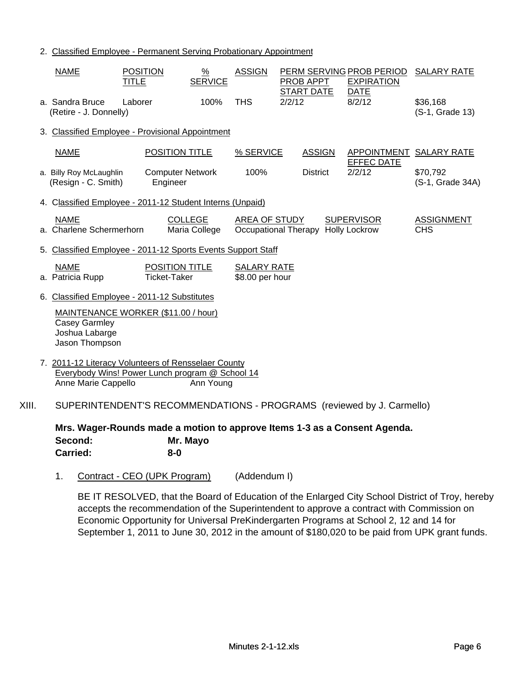2. Classified Employee - Permanent Serving Probationary Appointment

|       | <b>NAME</b>                                                                                                                   | <b>POSITION</b><br><b>TITLE</b> |                                       | $\frac{9}{6}$<br><b>SERVICE</b> | <b>ASSIGN</b>                         |        | PROB APPT                          | PERM SERVING PROB PERIOD<br><b>EXPIRATION</b>                             | <b>SALARY RATE</b>              |
|-------|-------------------------------------------------------------------------------------------------------------------------------|---------------------------------|---------------------------------------|---------------------------------|---------------------------------------|--------|------------------------------------|---------------------------------------------------------------------------|---------------------------------|
|       | a. Sandra Bruce<br>(Retire - J. Donnelly)                                                                                     | Laborer                         |                                       | 100%                            | <b>THS</b>                            | 2/2/12 | <b>START DATE</b>                  | <b>DATE</b><br>8/2/12                                                     | \$36,168<br>(S-1, Grade 13)     |
|       | 3. Classified Employee - Provisional Appointment                                                                              |                                 |                                       |                                 |                                       |        |                                    |                                                                           |                                 |
|       | <b>NAME</b>                                                                                                                   |                                 | POSITION TITLE                        |                                 | % SERVICE                             |        | <b>ASSIGN</b>                      | APPOINTMENT SALARY RATE                                                   |                                 |
|       | a. Billy Roy McLaughlin<br>(Resign - C. Smith)                                                                                |                                 | <b>Computer Network</b><br>Engineer   |                                 | 100%                                  |        | <b>District</b>                    | <b>EFFEC DATE</b><br>2/2/12                                               | \$70,792<br>(S-1, Grade 34A)    |
|       | 4. Classified Employee - 2011-12 Student Interns (Unpaid)                                                                     |                                 |                                       |                                 |                                       |        |                                    |                                                                           |                                 |
|       | <b>NAME</b><br>a. Charlene Schermerhorn                                                                                       |                                 |                                       | <b>COLLEGE</b><br>Maria College | AREA OF STUDY                         |        | Occupational Therapy Holly Lockrow | <b>SUPERVISOR</b>                                                         | <b>ASSIGNMENT</b><br><b>CHS</b> |
|       | 5. Classified Employee - 2011-12 Sports Events Support Staff                                                                  |                                 |                                       |                                 |                                       |        |                                    |                                                                           |                                 |
|       | <b>NAME</b><br>a. Patricia Rupp                                                                                               |                                 | POSITION TITLE<br><b>Ticket-Taker</b> |                                 | <b>SALARY RATE</b><br>\$8.00 per hour |        |                                    |                                                                           |                                 |
|       | 6. Classified Employee - 2011-12 Substitutes                                                                                  |                                 |                                       |                                 |                                       |        |                                    |                                                                           |                                 |
|       | MAINTENANCE WORKER (\$11.00 / hour)<br><b>Casey Garmley</b><br>Joshua Labarge<br>Jason Thompson                               |                                 |                                       |                                 |                                       |        |                                    |                                                                           |                                 |
|       | 7. 2011-12 Literacy Volunteers of Rensselaer County<br>Everybody Wins! Power Lunch program @ School 14<br>Anne Marie Cappello |                                 |                                       | Ann Young                       |                                       |        |                                    |                                                                           |                                 |
| XIII. |                                                                                                                               |                                 |                                       |                                 |                                       |        |                                    | SUPERINTENDENT'S RECOMMENDATIONS - PROGRAMS (reviewed by J. Carmello)     |                                 |
|       |                                                                                                                               |                                 |                                       |                                 |                                       |        |                                    | Mrs. Wager-Rounds made a motion to approve Items 1-3 as a Consent Agenda. |                                 |

**Second: Mr. Mayo Carried: 8-0**

1. Contract - CEO (UPK Program) (Addendum I)

BE IT RESOLVED, that the Board of Education of the Enlarged City School District of Troy, hereby accepts the recommendation of the Superintendent to approve a contract with Commission on Economic Opportunity for Universal PreKindergarten Programs at School 2, 12 and 14 for September 1, 2011 to June 30, 2012 in the amount of \$180,020 to be paid from UPK grant funds.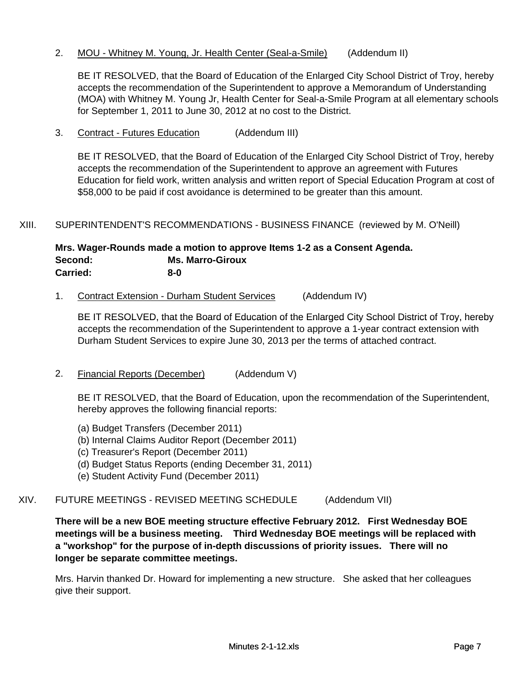2. MOU - Whitney M. Young, Jr. Health Center (Seal-a-Smile) (Addendum II)

BE IT RESOLVED, that the Board of Education of the Enlarged City School District of Troy, hereby accepts the recommendation of the Superintendent to approve a Memorandum of Understanding (MOA) with Whitney M. Young Jr, Health Center for Seal-a-Smile Program at all elementary schools for September 1, 2011 to June 30, 2012 at no cost to the District.

3. Contract - Futures Education (Addendum III)

BE IT RESOLVED, that the Board of Education of the Enlarged City School District of Troy, hereby accepts the recommendation of the Superintendent to approve an agreement with Futures Education for field work, written analysis and written report of Special Education Program at cost of \$58,000 to be paid if cost avoidance is determined to be greater than this amount.

XIII. SUPERINTENDENT'S RECOMMENDATIONS - BUSINESS FINANCE (reviewed by M. O'Neill)

#### **Mrs. Wager-Rounds made a motion to approve Items 1-2 as a Consent Agenda. Second: Ms. Marro-Giroux Carried: 8-0**

1. Contract Extension - Durham Student Services (Addendum IV)

BE IT RESOLVED, that the Board of Education of the Enlarged City School District of Troy, hereby accepts the recommendation of the Superintendent to approve a 1-year contract extension with Durham Student Services to expire June 30, 2013 per the terms of attached contract.

2. Financial Reports (December) (Addendum V)

BE IT RESOLVED, that the Board of Education, upon the recommendation of the Superintendent, hereby approves the following financial reports:

- (a) Budget Transfers (December 2011)
- (b) Internal Claims Auditor Report (December 2011)
- (c) Treasurer's Report (December 2011)
- (d) Budget Status Reports (ending December 31, 2011)
- (e) Student Activity Fund (December 2011)

### XIV. FUTURE MEETINGS - REVISED MEETING SCHEDULE (Addendum VII)

**There will be a new BOE meeting structure effective February 2012. First Wednesday BOE meetings will be a business meeting. Third Wednesday BOE meetings will be replaced with a "workshop" for the purpose of in-depth discussions of priority issues. There will no longer be separate committee meetings.**

Mrs. Harvin thanked Dr. Howard for implementing a new structure. She asked that her colleagues give their support.